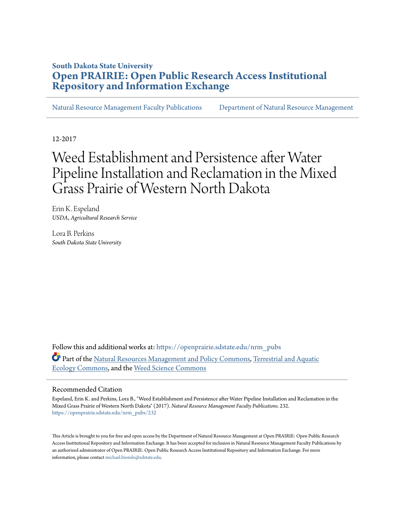## **South Dakota State University [Open PRAIRIE: Open Public Research Access Institutional](https://openprairie.sdstate.edu?utm_source=openprairie.sdstate.edu%2Fnrm_pubs%2F232&utm_medium=PDF&utm_campaign=PDFCoverPages) [Repository and Information Exchange](https://openprairie.sdstate.edu?utm_source=openprairie.sdstate.edu%2Fnrm_pubs%2F232&utm_medium=PDF&utm_campaign=PDFCoverPages)**

[Natural Resource Management Faculty Publications](https://openprairie.sdstate.edu/nrm_pubs?utm_source=openprairie.sdstate.edu%2Fnrm_pubs%2F232&utm_medium=PDF&utm_campaign=PDFCoverPages) [Department of Natural Resource Management](https://openprairie.sdstate.edu/nrm?utm_source=openprairie.sdstate.edu%2Fnrm_pubs%2F232&utm_medium=PDF&utm_campaign=PDFCoverPages)

12-2017

# Weed Establishment and Persistence after Water Pipeline Installation and Reclamation in the Mixed Grass Prairie of Western North Dakota

Erin K. Espeland *USDA, Agricultural Research Service*

Lora B. Perkins *South Dakota State University*

Follow this and additional works at: [https://openprairie.sdstate.edu/nrm\\_pubs](https://openprairie.sdstate.edu/nrm_pubs?utm_source=openprairie.sdstate.edu%2Fnrm_pubs%2F232&utm_medium=PDF&utm_campaign=PDFCoverPages) Part of the [Natural Resources Management and Policy Commons,](http://network.bepress.com/hgg/discipline/170?utm_source=openprairie.sdstate.edu%2Fnrm_pubs%2F232&utm_medium=PDF&utm_campaign=PDFCoverPages) [Terrestrial and Aquatic](http://network.bepress.com/hgg/discipline/20?utm_source=openprairie.sdstate.edu%2Fnrm_pubs%2F232&utm_medium=PDF&utm_campaign=PDFCoverPages) [Ecology Commons,](http://network.bepress.com/hgg/discipline/20?utm_source=openprairie.sdstate.edu%2Fnrm_pubs%2F232&utm_medium=PDF&utm_campaign=PDFCoverPages) and the [Weed Science Commons](http://network.bepress.com/hgg/discipline/1267?utm_source=openprairie.sdstate.edu%2Fnrm_pubs%2F232&utm_medium=PDF&utm_campaign=PDFCoverPages)

#### Recommended Citation

Espeland, Erin K. and Perkins, Lora B., "Weed Establishment and Persistence after Water Pipeline Installation and Reclamation in the Mixed Grass Prairie of Western North Dakota" (2017). *Natural Resource Management Faculty Publications*. 232. [https://openprairie.sdstate.edu/nrm\\_pubs/232](https://openprairie.sdstate.edu/nrm_pubs/232?utm_source=openprairie.sdstate.edu%2Fnrm_pubs%2F232&utm_medium=PDF&utm_campaign=PDFCoverPages)

This Article is brought to you for free and open access by the Department of Natural Resource Management at Open PRAIRIE: Open Public Research Access Institutional Repository and Information Exchange. It has been accepted for inclusion in Natural Resource Management Faculty Publications by an authorized administrator of Open PRAIRIE: Open Public Research Access Institutional Repository and Information Exchange. For more information, please contact [michael.biondo@sdstate.edu](mailto:michael.biondo@sdstate.edu).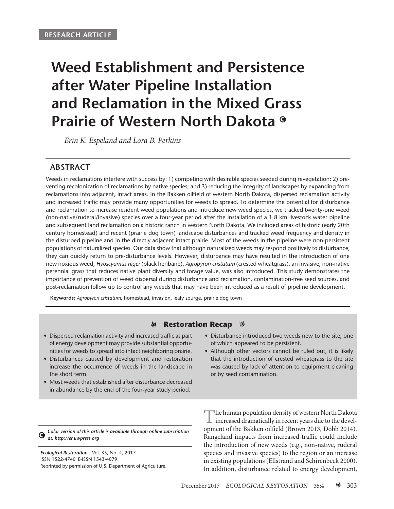# **Weed Establishment and Persistence after Water Pipeline Installation and Reclamation in the Mixed Grass Prairie of Western North Dakota**

*Erin K. Espeland and Lora B. Perkins*

### **ABSTRACT**

Weeds in reclamations interfere with success by: 1) competing with desirable species seeded during revegetation; 2) preventing recolonization of reclamations by native species; and 3) reducing the integrity of landscapes by expanding from reclamations into adjacent, intact areas. In the Bakken oilfield of western North Dakota, dispersed reclamation activity and increased traffic may provide many opportunities for weeds to spread. To determine the potential for disturbance and reclamation to increase resident weed populations and introduce new weed species, we tracked twenty-one weed (non-native/ruderal/invasive) species over a four-year period after the installation of a 1.8 km livestock water pipeline and subsequent land reclamation on a historic ranch in western North Dakota. We included areas of historic (early 20th century homestead) and recent (prairie dog town) landscape disturbances and tracked weed frequency and density in the disturbed pipeline and in the directly adjacent intact prairie. Most of the weeds in the pipeline were non-persistent populations of naturalized species. Our data show that although naturalized weeds may respond positively to disturbance, they can quickly return to pre-disturbance levels. However, disturbance may have resulted in the introduction of one new noxious weed, *Hyoscyamus niger* (black henbane). *Agropyron cristatum* (crested wheatgrass), an invasive, non-native perennial grass that reduces native plant diversity and forage value, was also introduced. This study demonstrates the importance of prevention of weed dispersal during disturbance and reclamation, contamination-free seed sources, and post-reclamation follow up to control any weeds that may have been introduced as a result of pipeline development.

**Keywords:** *Agropyron cristatum*, homestead, invasion, leafy spurge, prairie dog town

#### **S Restoration Recap**  $\%$

- Dispersed reclamation activity and increased traffic as part of energy development may provide substantial opportunities for weeds to spread into intact neighboring prairie.
- Disturbances caused by development and restoration increase the occurrence of weeds in the landscape in the short term.
- Most weeds that established after disturbance decreased in abundance by the end of the four-year study period.
- Disturbance introduced two weeds new to the site, one of which appeared to be persistent.
- Although other vectors cannot be ruled out, it is likely that the introduction of crested wheatgrass to the site was caused by lack of attention to equipment cleaning or by seed contamination.

*Color version of this article is available through online subscription*  G *at: http://er.uwpress.org*

*Ecological Restoration* Vol. 35, No. 4, 2017 ISSN 1522-4740 E-ISSN 1543-4079 Reprinted by permission of U.S. Department of Agriculture.

The human population density of western North Dakota increased dramatically in recent years due to the development of the Bakken oilfield (Brown 2013, Dobb 2014). Rangeland impacts from increased traffic could include the introduction of new weeds (e.g., non-native, ruderal species and invasive species) to the region or an increase in existing populations (Ellstrand and Schirenbeck 2000). In addition, disturbance related to energy development,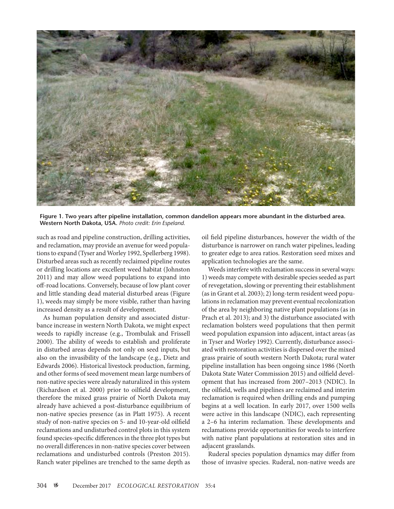

**Figure 1. Two years after pipeline installation, common dandelion appears more abundant in the disturbed area. Western North Dakota, USA.** *Photo credit: Erin Espeland.*

such as road and pipeline construction, drilling activities, and reclamation, may provide an avenue for weed populations to expand (Tyser and Worley 1992, Spellerberg 1998). Disturbed areas such as recently reclaimed pipeline routes or drilling locations are excellent weed habitat (Johnston 2011) and may allow weed populations to expand into off-road locations. Conversely, because of low plant cover and little standing dead material disturbed areas (Figure 1), weeds may simply be more visible, rather than having increased density as a result of development.

As human population density and associated disturbance increase in western North Dakota, we might expect weeds to rapidly increase (e.g., Trombulak and Frissell 2000). The ability of weeds to establish and proliferate in disturbed areas depends not only on seed inputs, but also on the invasibility of the landscape (e.g., Dietz and Edwards 2006). Historical livestock production, farming, and other forms of seed movement mean large numbers of non-native species were already naturalized in this system (Richardson et al. 2000) prior to oilfield development, therefore the mixed grass prairie of North Dakota may already have achieved a post-disturbance equilibrium of non-native species presence (as in Platt 1975). A recent study of non-native species on 5- and 10-year-old oilfield reclamations and undisturbed control plots in this system found species-specific differences in the three plot types but no overall differences in non-native species cover between reclamations and undisturbed controls (Preston 2015). Ranch water pipelines are trenched to the same depth as oil field pipeline disturbances, however the width of the disturbance is narrower on ranch water pipelines, leading to greater edge to area ratios. Restoration seed mixes and application technologies are the same.

Weeds interfere with reclamation success in several ways: 1) weeds may compete with desirable species seeded as part of revegetation, slowing or preventing their establishment (as in Grant et al. 2003); 2) long-term resident weed populations in reclamation may prevent eventual recolonization of the area by neighboring native plant populations (as in Prach et al. 2013); and 3) the disturbance associated with reclamation bolsters weed populations that then permit weed population expansion into adjacent, intact areas (as in Tyser and Worley 1992). Currently, disturbance associated with restoration activities is dispersed over the mixed grass prairie of south western North Dakota; rural water pipeline installation has been ongoing since 1986 (North Dakota State Water Commission 2015) and oilfield development that has increased from 2007–2013 (NDIC). In the oilfield, wells and pipelines are reclaimed and interim reclamation is required when drilling ends and pumping begins at a well location. In early 2017, over 1500 wells were active in this landscape (NDIC), each representing a 2–6 ha interim reclamation. These developments and reclamations provide opportunities for weeds to interfere with native plant populations at restoration sites and in adjacent grasslands.

Ruderal species population dynamics may differ from those of invasive species. Ruderal, non-native weeds are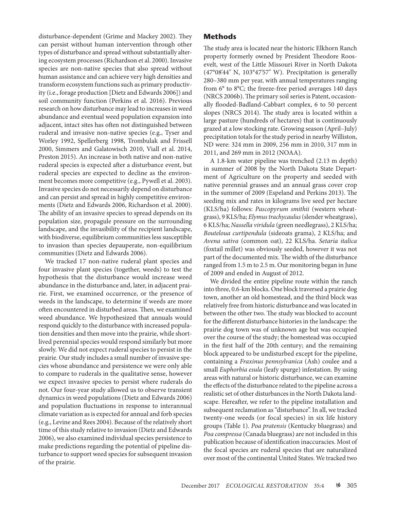disturbance-dependent (Grime and Mackey 2002). They can persist without human intervention through other types of disturbance and spread without substantially altering ecosystem processes (Richardson et al. 2000). Invasive species are non-native species that also spread without human assistance and can achieve very high densities and transform ecosystem functions such as primary productivity (i.e., forage production [Dietz and Edwards 2006]) and soil community function (Perkins et al. 2016). Previous research on how disturbance may lead to increases in weed abundance and eventual weed population expansion into adjacent, intact sites has often not distinguished between ruderal and invasive non-native species (e.g., Tyser and Worley 1992, Spellerberg 1998, Trombulak and Frissell 2000, Simmers and Galatowisch 2010, Viall et al. 2014, Preston 2015). An increase in both native and non-native ruderal species is expected after a disturbance event, but ruderal species are expected to decline as the environment becomes more competitive (e.g., Pywell et al. 2003). Invasive species do not necessarily depend on disturbance and can persist and spread in highly competitive environments (Dietz and Edwards 2006, Richardson et al. 2000). The ability of an invasive species to spread depends on its population size, propagule pressure on the surrounding landscape, and the invasibility of the recipient landscape, with biodiverse, equilibrium communities less susceptible to invasion than species depauperate, non-equilibrium communities (Dietz and Edwards 2006).

We tracked 17 non-native ruderal plant species and four invasive plant species (together, weeds) to test the hypothesis that the disturbance would increase weed abundance in the disturbance and, later, in adjacent prairie. First, we examined occurrence, or the presence of weeds in the landscape, to determine if weeds are more often encountered in disturbed areas. Then, we examined weed abundance. We hypothesized that annuals would respond quickly to the disturbance with increased population densities and then move into the prairie, while shortlived perennial species would respond similarly but more slowly. We did not expect ruderal species to persist in the prairie. Our study includes a small number of invasive species whose abundance and persistence we were only able to compare to ruderals in the qualitative sense, however we expect invasive species to persist where ruderals do not. Our four-year study allowed us to observe transient dynamics in weed populations (Dietz and Edwards 2006) and population fluctuations in response to interannual climate variation as is expected for annual and forb species (e.g., Levine and Rees 2004). Because of the relatively short time of this study relative to invasion (Dietz and Edwards 2006), we also examined individual species persistence to make predictions regarding the potential of pipeline disturbance to support weed species for subsequent invasion of the prairie.

#### **Methods**

The study area is located near the historic Elkhorn Ranch property formerly owned by President Theodore Roosevelt, west of the Little Missouri River in North Dakota (47**°**08*'*44*"* N, 103**°**47*'*57*"* W). Precipitation is generally 280–380 mm per year, with annual temperatures ranging from 6**°** to 8**°**C; the freeze-free period averages 140 days (NRCS 2006b). The primary soil series is Patent, occasionally flooded-Badland-Cabbart complex, 6 to 50 percent slopes (NRCS 2014). The study area is located within a large pasture (hundreds of hectares) that is continuously grazed at a low stocking rate. Growing season (April–July) precipitation totals for the study period in nearby Williston, ND were: 324 mm in 2009, 256 mm in 2010, 317 mm in 2011, and 269 mm in 2012 (NOAA).

A 1.8-km water pipeline was trenched (2.13 m depth) in summer of 2008 by the North Dakota State Department of Agriculture on the property and seeded with native perennial grasses and an annual grass cover crop in the summer of 2009 (Espeland and Perkins 2013). The seeding mix and rates in kilograms live seed per hectare (KLS/ha) follows: *Pascopyrum smithii* (western wheatgrass), 9 KLS/ha; *Elymus trachycaulus* (slender wheatgrass), 6 KLS/ha; *Nassella viridula* (green needlegrass), 2 KLS/ha; *Bouteloua curtipendula* (sideoats grama), 2 KLS/ha; and *Avena sativa* (common oat), 22 KLS/ha. *Setaria italica* (foxtail millet) was obviously seeded, however it was not part of the documented mix. The width of the disturbance ranged from 1.5 m to 2.5 m. Our monitoring began in June of 2009 and ended in August of 2012.

We divided the entire pipeline route within the ranch into three, 0.6-km blocks. One block traversed a prairie dog town, another an old homestead, and the third block was relatively free from historic disturbance and was located in between the other two. The study was blocked to account for the different disturbance histories in the landscape: the prairie dog town was of unknown age but was occupied over the course of the study; the homestead was occupied in the first half of the 20th century; and the remaining block appeared to be undisturbed except for the pipeline, containing a *Fraxinus pennsylvanica* (Ash) coulee and a small *Euphorbia esula* (leafy spurge) infestation. By using areas with natural or historic disturbance, we can examine the effects of the disturbance related to the pipeline across a realistic set of other disturbances in the North Dakota landscape. Hereafter, we refer to the pipeline installation and subsequent reclamation as "disturbance". In all, we tracked twenty-one weeds (or focal species) in six life history groups (Table 1). *Poa pratensis* (Kentucky bluegrass) and *Poa compressa* (Canada bluegrass) are not included in this publication because of identification inaccuracies. Most of the focal species are ruderal species that are naturalized over most of the continental United States. We tracked two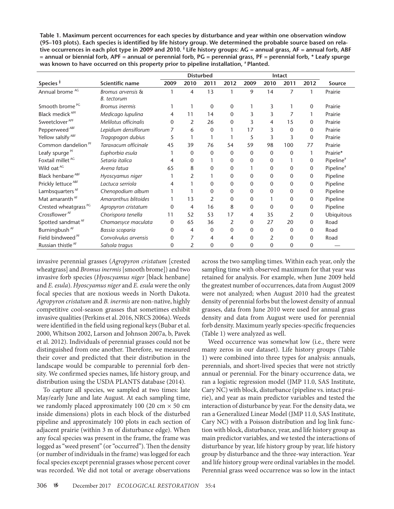**Table 1. Maximum percent occurrences for each species by disturbance and year within one observation window (95–103 plots). Each species is identified by life history group. We determined the probable source based on relative occurrences in each plot type in 2009 and 2010. ǂ Life history groups: AG = annual grass, AF = annual forb, ABF = annual or biennial forb, APF = annual or perennial forb, PG = perennial grass, PF = perennial forb, \* Leafy spurge was known to have occurred on this property prior to pipeline installation, # Planted.**

|                                  |                       | <b>Disturbed</b> |                |              |              | Intact       |                |              |              |                       |
|----------------------------------|-----------------------|------------------|----------------|--------------|--------------|--------------|----------------|--------------|--------------|-----------------------|
| Species <sup>#</sup>             | Scientific name       | 2009             | 2010           | 2011         | 2012         | 2009         | 2010           | 2011         | 2012         | Source                |
| Annual brome <sup>AG</sup>       | Bromus arvensis &     |                  | 4              | 13           | 1            | 9            | 14             | 7            | 1            | Prairie               |
|                                  | B. tectorum           |                  |                |              |              |              |                |              |              |                       |
| Smooth brome <sup>PG</sup>       | <b>Bromus</b> inermis |                  |                | 0            | 0            |              | 3              |              | 0            | Prairie               |
| Black medick <sup>APF</sup>      | Medicago lupulina     | 4                | 11             | 14           | $\Omega$     | 3            | 3              |              |              | Prairie               |
| Sweetclover <sup>APF</sup>       | Melilotus officinalis | 0                | 2              | 26           | $\Omega$     | 3            | 4              | 15           | 0            | Prairie               |
| Pepperweed <sup>ABF</sup>        | Lepidium densiflorum  |                  | 6              | $\mathbf{0}$ |              | 17           | 3              | $\mathbf{0}$ | 0            | Prairie               |
| Yellow salsify <sup>ABF</sup>    | Tragopogon dubius     | 5                |                |              |              | 5            | 3              | 3            | $\mathbf 0$  | Prairie               |
| Common dandelion <sup>PF</sup>   | Taraxacum officinale  | 45               | 39             | 76           | 54           | 59           | 98             | 100          | 77           | Prairie               |
| Leafy spurge <sup>PF</sup>       | Euphorbia esula       |                  | 0              | $\mathbf{0}$ | $\Omega$     | $\mathbf 0$  | $\mathbf{0}$   | $\mathbf{0}$ |              | Prairie*              |
| Foxtail millet <sup>AG</sup>     | Setaria italica       | 4                | 0              |              | 0            | 0            | 0              |              | 0            | Pipeline <sup>#</sup> |
| Wild oat AG                      | Avena fatua           | 65               | 8              | 0            | 0            |              | 0              | 0            | 0            | Pipeline <sup>#</sup> |
| Black henbane <sup>ABF</sup>     | Hyoscyamus niger      |                  | 2              |              | $\Omega$     | 0            | 0              | 0            | 0            | Pipeline              |
| Prickly lettuce <sup>ABF</sup>   | Lactuca serriola      | 4                |                | 0            | 0            | 0            | 0              | 0            | 0            | Pipeline              |
| Lambsquarters <sup>AF</sup>      | Chenopodium album     |                  |                | 0            | $\Omega$     | 0            | 0              | 0            | 0            | Pipeline              |
| Mat amaranth <sup>AF</sup>       | Amaranthus blitoides  |                  | 13             | 2            | 0            | 0            |                | 0            | 0            | Pipeline              |
| Crested wheatgrass <sup>PG</sup> | Agropyron cristatum   | $\Omega$         | 4              | 16           | 8            | $\mathbf{0}$ | $\Omega$       | 0            | $\mathbf 0$  | Pipeline              |
| Crossflower <sup>AF</sup>        | Chorispora tenella    | 11               | 52             | 53           | 17           | 4            | 35             | 2            | $\mathbf 0$  | Ubiquitous            |
| Spotted sandmat <sup>AF</sup>    | Chamaesyce maculata   | 0                | 65             | 36           | 2            | 0            | 27             | 20           | 0            | Road                  |
| Burningbush <sup>AF</sup>        | Bassia scoparia       | 0                | 4              | $\mathbf 0$  | $\mathbf{0}$ | 0            | $\Omega$       | 0            | $\mathbf{0}$ | Road                  |
| Field bindweed <sup>PF</sup>     | Convolvulus arvensis  | $\Omega$         | $\overline{7}$ | 4            | 4            | $\mathbf{0}$ | $\overline{2}$ | 0            | $\mathbf{0}$ | Road                  |
| Russian thistle <sup>AF</sup>    | Salsola tragus        | 0                | 2              | 0            | 0            | 0            | 0              | 0            | 0            |                       |

invasive perennial grasses (*Agropyron cristatum* [crested wheatgrass] and *Bromus inermis* [smooth brome]) and two invasive forb species (*Hyoscyamus niger* [black henbane] and *E. esula*). *Hyoscyamus niger* and *E. esula* were the only focal species that are noxious weeds in North Dakota. *Agropyron cristatum* and *B. inermis* are non-native, highly competitive cool-season grasses that sometimes exhibit invasive qualities (Perkins et al. 2016, NRCS 2006a). Weeds were identified in the field using regional keys (Bubar et al. 2000, Whitson 2002, Larson and Johnson 2007a, b, Pavek et al. 2012). Individuals of perennial grasses could not be distinguished from one another. Therefore, we measured their cover and predicted that their distribution in the landscape would be comparable to perennial forb density. We confirmed species names, life history group, and distribution using the USDA PLANTS database (2014).

To capture all species, we sampled at two times: late May/early June and late August. At each sampling time, we randomly placed approximately 100 (20 cm  $\times$  50 cm inside dimensions) plots in each block of the disturbed pipeline and approximately 100 plots in each section of adjacent prairie (within 3 m of disturbance edge). When any focal species was present in the frame, the frame was logged as "weed present" (or "occurred"). Then the density (or number of individuals in the frame) was logged for each focal species except perennial grasses whose percent cover was recorded. We did not total or average observations

across the two sampling times. Within each year, only the sampling time with observed maximum for that year was retained for analysis. For example, when June 2009 held the greatest number of occurrences, data from August 2009 were not analyzed; when August 2010 had the greatest density of perennial forbs but the lowest density of annual grasses, data from June 2010 were used for annual grass density and data from August were used for perennial forb density. Maximum yearly species-specific frequencies (Table 1) were analyzed as well.

Weed occurrence was somewhat low (i.e., there were many zeros in our dataset). Life history groups (Table 1) were combined into three types for analysis: annuals, perennials, and short-lived species that were not strictly annual or perennial. For the binary occurrence data, we ran a logistic regression model (JMP 11.0, SAS Institute, Cary NC) with block, disturbance (pipeline vs. intact prairie), and year as main predictor variables and tested the interaction of disturbance by year. For the density data, we ran a Generalized Linear Model (JMP 11.0, SAS Institute, Cary NC) with a Poisson distribution and log link function with block, disturbance, year, and life history group as main predictor variables, and we tested the interactions of disturbance by year, life history group by year, life history group by disturbance and the three-way interaction. Year and life history group were ordinal variables in the model. Perennial grass weed occurrence was so low in the intact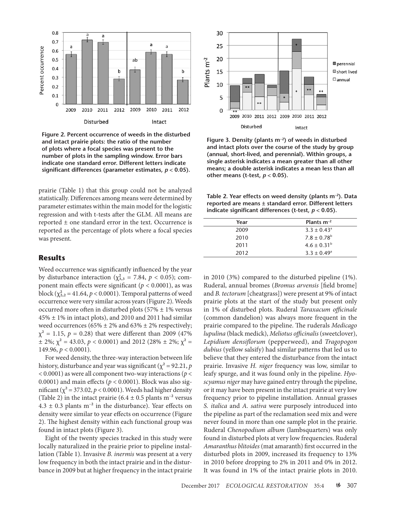

**Figure 2. Percent occurrence of weeds in the disturbed and intact prairie plots: the ratio of the number of plots where a focal species was present to the number of plots in the sampling window. Error bars indicate one standard error. Different letters indicate significant differences (parameter estimates,** *p* **< 0.05).**

prairie (Table 1) that this group could not be analyzed statistically. Differences among means were determined by parameter estimates within the main model for the logistic regression and with t-tests after the GLM. All means are reported ± one standard error in the text. Occurrence is reported as the percentage of plots where a focal species was present.

#### **Results**

Weed occurrence was significantly influenced by the year by disturbance interaction ( $\chi^2_{3,3} = 7.84$ ,  $p < 0.05$ ); component main effects were significant (*p* < 0.0001), as was block ( $\chi^2_{2,2}$  = 41.64,  $p < 0.0001$ ). Temporal patterns of weed occurrence were very similar across years (Figure 2). Weeds occurred more often in disturbed plots ( $57\% \pm 1\%$  versus 45% ± 1% in intact plots), and 2010 and 2011 had similar weed occurrences (65%  $\pm$  2% and 63%  $\pm$  2% respectively;  $\chi^2 = 1.15$ ,  $p = 0.28$ ) that were different than 2009 (47%)  $\pm$  2%;  $\chi^2$  = 43.03,  $p < 0.0001$ ) and 2012 (28%  $\pm$  2%;  $\chi^2$  = 149.96, *p* < 0.0001).

For weed density, the three-way interaction between life history, disturbance and year was significant ( $\chi^2$  = 92.21, *p* < 0.0001) as were all component two-way interactions (*p* < 0.0001) and main effects ( $p < 0.0001$ ). Block was also significant ( $\chi^2$  = 373.02,  $p$  < 0.0001). Weeds had higher density (Table 2) in the intact prairie (6.4  $\pm$  0.5 plants m<sup>-2</sup> versus  $4.3 \pm 0.3$  plants m<sup>-2</sup> in the disturbance). Year effects on density were similar to year effects on occurrence (Figure 2). The highest density within each functional group was found in intact plots (Figure 3).

Eight of the twenty species tracked in this study were locally naturalized in the prairie prior to pipeline installation (Table 1). Invasive *B. inermis* was present at a very low frequency in both the intact prairie and in the disturbance in 2009 but at higher frequency in the intact prairie



**Figure 3. Density (plants m−2) of weeds in disturbed and intact plots over the course of the study by group (annual, short-lived, and perennial). Within groups, a single asterisk indicates a mean greater than all other means; a double asterisk indicates a mean less than all**  other means (t-test,  $p < 0.05$ ).

**Table 2. Year effects on weed density (plants m–2). Data reported are means ± standard error. Different letters indicate significant differences (t-test,** *p* **< 0.05).**

| Year | Plants $m^{-2}$        |  |  |  |  |  |
|------|------------------------|--|--|--|--|--|
| 2009 | $3.3 \pm 0.43^{\circ}$ |  |  |  |  |  |
| 2010 | $7.8 \pm 0.78^{\rm b}$ |  |  |  |  |  |
| 2011 | $4.6 \pm 0.31^{\rm b}$ |  |  |  |  |  |
| 2012 | $3.3 \pm 0.49^{\circ}$ |  |  |  |  |  |

in 2010 (3%) compared to the disturbed pipeline (1%). Ruderal, annual bromes (*Bromus arvensis* [field brome] and *B. tectorum* [cheatgrass]) were present at 9% of intact prairie plots at the start of the study but present only in 1% of disturbed plots. Ruderal *Taraxacum officinale* (common dandelion) was always more frequent in the prairie compared to the pipeline. The ruderals *Medicago lupulina* (black medick), *Meliotus officinalis* (sweetclover), *Lepidium densiflorum* (pepperweed), and *Tragopogon dubius* (yellow salsify) had similar patterns that led us to believe that they entered the disturbance from the intact prairie. Invasive *H. niger* frequency was low, similar to leafy spurge, and it was found only in the pipeline. *Hyoscyamus niger* may have gained entry through the pipeline, or it may have been present in the intact prairie at very low frequency prior to pipeline installation. Annual grasses *S. italica* and *A. sativa* were purposely introduced into the pipeline as part of the reclamation seed mix and were never found in more than one sample plot in the prairie. Ruderal *Chenopodium album* (lambsquarters) was only found in disturbed plots at very low frequencies. Ruderal *Amaranthus blitoides* (mat amaranth) first occurred in the disturbed plots in 2009, increased its frequency to 13% in 2010 before dropping to 2% in 2011 and 0% in 2012. It was found in 1% of the intact prairie plots in 2010.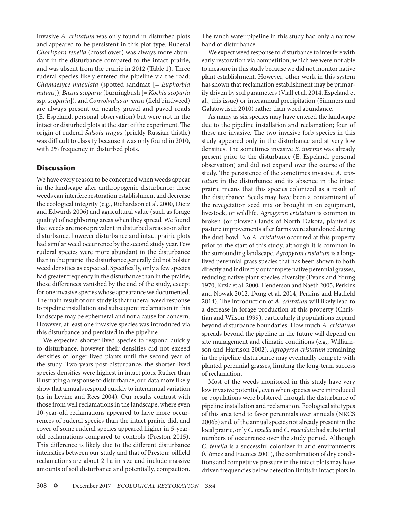Invasive *A. cristatum* was only found in disturbed plots and appeared to be persistent in this plot type. Ruderal *Chorispora tenella* (crossflower) was always more abundant in the disturbance compared to the intact prairie, and was absent from the prairie in 2012 (Table 1). Three ruderal species likely entered the pipeline via the road: *Chamaesyce maculata* (spotted sandmat [= *Euphorbia nutans*]), *Bassia scoparia* (burningbush [= *Kochia scoparia*  ssp*. scoparia*]), and *Convolvulus arvensis* (field bindweed) are always present on nearby gravel and paved roads (E. Espeland, personal observation) but were not in the intact or disturbed plots at the start of the experiment. The origin of ruderal *Salsola tragus* (prickly Russian thistle) was difficult to classify because it was only found in 2010, with 2% frequency in disturbed plots.

### **Discussion**

We have every reason to be concerned when weeds appear in the landscape after anthropogenic disturbance: these weeds can interfere restoration establishment and decrease the ecological integrity (e.g., Richardson et al. 2000, Dietz and Edwards 2006) and agricultural value (such as forage quality) of neighboring areas when they spread. We found that weeds are more prevalent in disturbed areas soon after disturbance, however disturbance and intact prairie plots had similar weed occurrence by the second study year. Few ruderal species were more abundant in the disturbance than in the prairie: the disturbance generally did not bolster weed densities as expected. Specifically, only a few species had greater frequency in the disturbance than in the prairie; these differences vanished by the end of the study, except for one invasive species whose appearance we documented. The main result of our study is that ruderal weed response to pipeline installation and subsequent reclamation in this landscape may be ephemeral and not a cause for concern. However, at least one invasive species was introduced via this disturbance and persisted in the pipeline.

We expected shorter-lived species to respond quickly to disturbance, however their densities did not exceed densities of longer-lived plants until the second year of the study. Two-years post-disturbance, the shorter-lived species densities were highest in intact plots. Rather than illustrating a response to disturbance, our data more likely show that annuals respond quickly to interannual variation (as in Levine and Rees 2004). Our results contrast with those from well reclamations in the landscape, where even 10-year-old reclamations appeared to have more occurrences of ruderal species than the intact prairie did, and cover of some ruderal species appeared higher in 5-yearold reclamations compared to controls (Preston 2015). This difference is likely due to the different disturbance intensities between our study and that of Preston: oilfield reclamations are about 2 ha in size and include massive amounts of soil disturbance and potentially, compaction.

The ranch water pipeline in this study had only a narrow band of disturbance.

We expect weed response to disturbance to interfere with early restoration via competition, which we were not able to measure in this study because we did not monitor native plant establishment. However, other work in this system has shown that reclamation establishment may be primarily driven by soil parameters (Viall et al. 2014, Espeland et al., this issue) or interannual precipitation (Simmers and Galatowtisch 2010) rather than weed abundance.

As many as six species may have entered the landscape due to the pipeline installation and reclamation; four of these are invasive. The two invasive forb species in this study appeared only in the disturbance and at very low densities. The sometimes invasive *B. inermis* was already present prior to the disturbance (E. Espeland, personal observation) and did not expand over the course of the study. The persistence of the sometimes invasive *A. cristatum* in the disturbance and its absence in the intact prairie means that this species colonized as a result of the disturbance. Seeds may have been a contaminant of the revegetation seed mix or brought in on equipment, livestock, or wildlife. *Agropyron cristatum* is common in broken (or plowed) lands of North Dakota, planted as pasture improvements after farms were abandoned during the dust bowl. No *A. cristatum* occurred at this property prior to the start of this study, although it is common in the surrounding landscape. *Agropyron cristatum* is a longlived perennial grass species that has been shown to both directly and indirectly outcompete native perennial grasses, reducing native plant species diversity (Evans and Young 1970, Krzic et al. 2000, Henderson and Naeth 2005, Perkins and Nowak 2012, Dong et al. 2014, Perkins and Hatfield 2014). The introduction of *A. cristatum* will likely lead to a decrease in forage production at this property (Christian and Wilson 1999), particularly if populations expand beyond disturbance boundaries. How much *A. cristatum*  spreads beyond the pipeline in the future will depend on site management and climatic conditions (e.g., Williamson and Harrison 2002). *Agropyron cristatum* remaining in the pipeline disturbance may eventually compete with planted perennial grasses, limiting the long-term success of reclamation.

Most of the weeds monitored in this study have very low invasive potential, even when species were introduced or populations were bolstered through the disturbance of pipeline installation and reclamation. Ecological site types of this area tend to favor perennials over annuals (NRCS 2006b) and, of the annual species not already present in the local prairie, only *C. tenella* and *C. maculata* had substantial numbers of occurrence over the study period. Although *C. tenella* is a successful colonizer in arid environments (Gómez and Fuentes 2001), the combination of dry conditions and competitive pressure in the intact plots may have driven frequencies below detection limits in intact plots in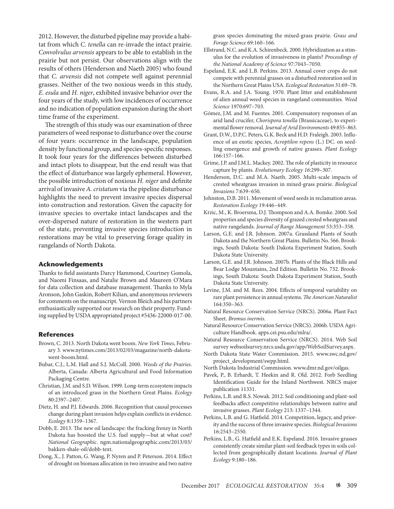2012. However, the disturbed pipeline may provide a habitat from which *C. tenella* can re-invade the intact prairie. *Convolvulus arvensis* appears to be able to establish in the prairie but not persist. Our observations align with the results of others (Henderson and Naeth 2005) who found that *C. arvensis* did not compete well against perennial grasses. Neither of the two noxious weeds in this study, *E. esula* and *H. niger*, exhibited invasive behavior over the four years of the study, with low incidences of occurrence and no indication of population expansion during the short time frame of the experiment.

The strength of this study was our examination of three parameters of weed response to disturbance over the course of four years: occurrence in the landscape, population density by functional group, and species-specific responses. It took four years for the differences between disturbed and intact plots to disappear, but the end result was that the effect of disturbance was largely ephemeral. However, the possible introduction of noxious *H. niger* and definite arrival of invasive *A. cristatum* via the pipeline disturbance highlights the need to prevent invasive species dispersal into construction and restoration. Given the capacity for invasive species to overtake intact landscapes and the over-dispersed nature of restoration in the western part of the state, preventing invasive species introduction in restorations may be vital to preserving forage quality in rangelands of North Dakota.

#### **Acknowledgements**

Thanks to field assistants Darcy Hammond, Courtney Gomola, and Naomi Finsaas, and Natalie Brown and Maureen O'Mara for data collection and database management. Thanks to Myla Aronson, John Gaskin, Robert Kilian, and anonymous reviewers for comments on the manuscript. Vernon Bleich and his partners enthusiastically supported our research on their property. Funding supplied by USDA appropriated project #5436-22000-017-00.

#### **References**

- Brown, C. 2013. North Dakota went boom. *New York Times*, February 3. www.nytimes.com/2013/02/03/magazine/north-dakotawent-boom.html.
- Bubar, C.J., L.M. Hall and S.J. McColl. 2000. *Weeds of the Prairies*. Alberta, Canada: Alberta Agricultural and Food Information Packaging Centre.
- Christian, J.M. and S.D. Wilson. 1999. Long‐term ecosystem impacts of an introduced grass in the Northern Great Plains. *Ecology* 80:2397–2407.
- Dietz, H. and P.J. Edwards. 2006. Recognition that causal processes change during plant invasion helps explain conflicts in evidence. *Ecology* 8:1359–1367.
- Dobb, E. 2013. The new oil landscape: the fracking frenzy in North Dakota has boosted the U.S. fuel supply—but at what cost? *National Geographic*. ngm.nationalgeographic.com/2013/03/ bakken-shale-oil/dobb-text.
- Dong, X., J. Patton, G. Wang, P. Nyren and P. Peterson. 2014. Effect of drought on biomass allocation in two invasive and two native

grass species dominating the mixed‐grass prairie. *Grass and Forage Science* 69:160–166.

- Ellstrand, N.C. and K.A. Schirenbeck. 2000. Hybridization as a stimulus for the evolution of invasiveness in plants? *Proceedings of the National Academy of Science* 97:7043–7050.
- Espeland, E.K. and L.B. Perkins. 2013. Annual cover crops do not compete with perennial grasses on a disturbed restoration soil in the Northern Great Plains USA. *Ecological Restoration* 31:69–78.
- Evans, R.A. and J.A. Young. 1970. Plant litter and establishment of alien annual weed species in rangeland communities. *Weed Science* 1970:697–703.
- Gómez, J.M. and M. Fuentes. 2001. Compensatory responses of an arid land crucifer, *Chorispora tenella* (Brassicaceae), to experimental flower removal*. Journal of Arid Environments* 49:855–863.
- Grant, D.W., D.P.C. Peters, G.K. Beck and H.D. Fraleigh. 2003. Influence of an exotic species, *Acroptilon repens* (L.) DC. on seedling emergence and growth of native grasses. *Plant Ecology*  166:157–166.
- Grime, J.P. and J.M.L. Mackey. 2002. The role of plasticity in resource capture by plants. *Evolutionary Ecology 16*:299–307.
- Henderson, D.C. and M.A. Naeth. 2005. Multi-scale impacts of crested wheatgrass invasion in mixed-grass prairie. *Biological Invasions* 7:639–650.
- Johnston, D.B. 2011. Movement of weed seeds in reclamation areas. *Restoration Ecology* 19:446–449.
- Krzic, M., K. Broersma, D.J. Thompson and A.A. Bomke. 2000. Soil properties and species diversity of grazed crested wheatgrass and native rangelands. *Journal of Range Management* 53:353–358.
- Larson, G.E. and J.R. Johnson. 2007a. Grassland Plants of South Dakota and the Northern Great Plains. Bulletin No. 566. Brookings, South Dakota: South Dakota Experiment Station, South Dakota State University.
- Larson, G.E. and J.R. Johnson. 2007b. Plants of the Black Hills and Bear Lodge Mountains, 2nd Edition. Bulletin No. 732. Brookings, South Dakota: South Dakota Experiment Station, South Dakota State University.
- Levine, J.M. and M. Rees. 2004. Effects of temporal variability on rare plant persistence in annual systems. *The American Naturalist* 164:350–363.
- Natural Resource Conservation Service (NRCS). 2006a. Plant Fact Sheet. *Bromus inermis*.
- Natural Resource Conservation Service (NRCS). 2006b. USDA Agriculture Handbook. apps.cei.psu.edu/mlra/.
- Natural Resource Conservation Service (NRCS). 2014. Web Soil survey websoilsurvey.nrcs.usda.gov/app/WebSoilSurvey.aspx.
- North Dakota State Water Commission. 2015. www.swc.nd.gov/ project\_development/swpp.html.
- North Dakota Industrial Commission. www.dmr.nd.gov/oilgas.
- Pavek, P., B. Erhardt, T. Heekin and R. Old. 2012. Forb Seedling Identification Guide for the Inland Northwest. NRCS major publication 11331.
- Perkins, L.B. and R.S. Nowak. 2012. Soil conditioning and plant-soil feedbacks affect competitive relationships between native and invasive grasses. *Plant Ecology* 213: 1337–1344.
- Perkins, L.B. and G. Hatfield. 2014. Competition, legacy, and priority and the success of three invasive species. *Biological Invasions* 16:2543–2550.
- Perkins, L.B., G. Hatfield and E.K. Espeland. 2016. Invasive grasses consistently create similar plant-soil feedback types in soils collected from geographically distant locations. *Journal of Plant Ecology* 9:180–186.